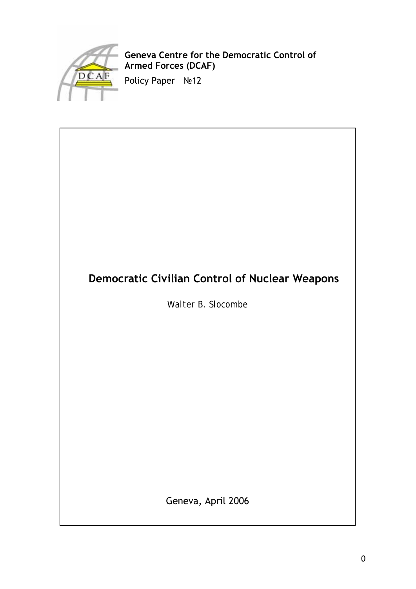

**Geneva Centre for the Democratic Control of Armed Forces (DCAF)** 

Policy Paper – №12

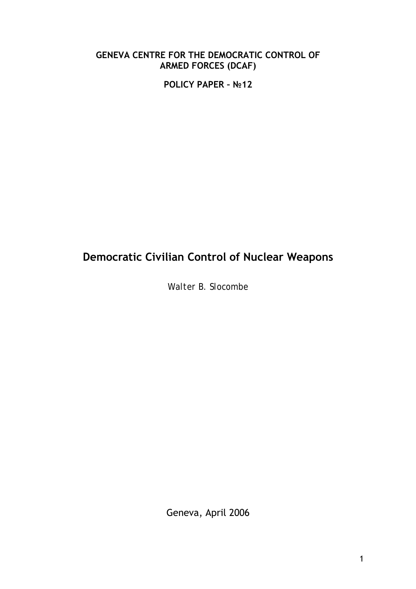### **GENEVA CENTRE FOR THE DEMOCRATIC CONTROL OF ARMED FORCES (DCAF)**

**POLICY PAPER – №12** 

# **Democratic Civilian Control of Nuclear Weapons**

*Walter B. Slocombe*

Geneva, April 2006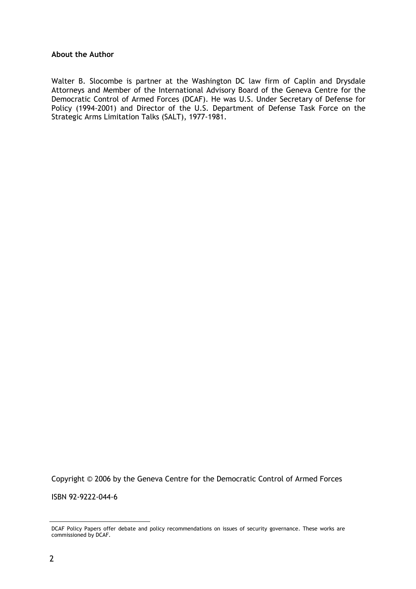### **About the Author**

Walter B. Slocombe is partner at the Washington DC law firm of Caplin and Drysdale Attorneys and Member of the International Advisory Board of the Geneva Centre for the Democratic Control of Armed Forces (DCAF). He was U.S. Under Secretary of Defense for Policy (1994-2001) and Director of the U.S. Department of Defense Task Force on the Strategic Arms Limitation Talks (SALT), 1977-1981.

Copyright © 2006 by the Geneva Centre for the Democratic Control of Armed Forces

ISBN 92-9222-044-6

1

DCAF Policy Papers offer debate and policy recommendations on issues of security governance. These works are commissioned by DCAF.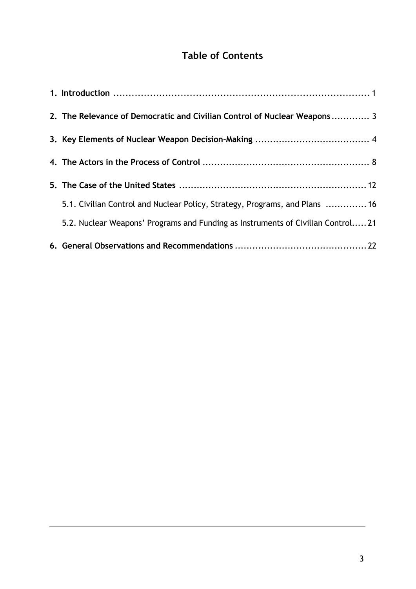# **Table of Contents**

| 5.2. Nuclear Weapons' Programs and Funding as Instruments of Civilian Control21 |
|---------------------------------------------------------------------------------|
| 5.1. Civilian Control and Nuclear Policy, Strategy, Programs, and Plans  16     |
|                                                                                 |
|                                                                                 |
|                                                                                 |
| 2. The Relevance of Democratic and Civilian Control of Nuclear Weapons 3        |
|                                                                                 |

<u>.</u>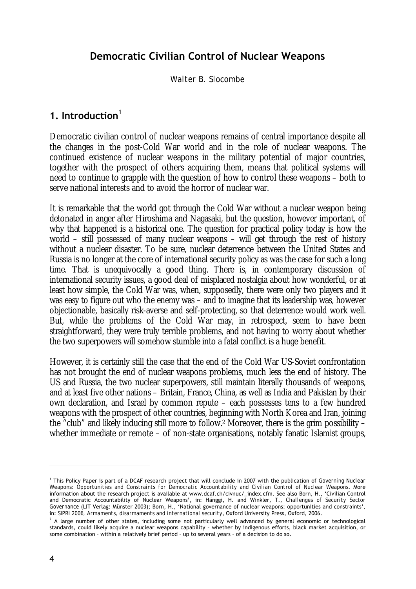# **Democratic Civilian Control of Nuclear Weapons**

*Walter B. Slocombe* 

# **1. Introduction**<sup>1</sup>

Democratic civilian control of nuclear weapons remains of central importance despite all the changes in the post-Cold War world and in the role of nuclear weapons. The continued existence of nuclear weapons in the military potential of major countries, together with the prospect of others acquiring them, means that political systems will need to continue to grapple with the question of how to control these weapons – both to serve national interests and to avoid the horror of nuclear war.

It is remarkable that the world got through the Cold War without a nuclear weapon being detonated in anger after Hiroshima and Nagasaki, but the question, however important, of why that happened is a historical one. The question for practical policy today is how the world – still possessed of many nuclear weapons – will get through the rest of history without a nuclear disaster. To be sure, nuclear deterrence between the United States and Russia is no longer at the core of international security policy as was the case for such a long time. That is unequivocally a good thing. There is, in contemporary discussion of international security issues, a good deal of misplaced nostalgia about how wonderful, or at least how simple, the Cold War was, when, supposedly, there were only two players and it was easy to figure out who the enemy was – and to imagine that its leadership was, however objectionable, basically risk-averse and self-protecting, so that deterrence would work well. But, while the problems of the Cold War may, in retrospect, seem to have been straightforward, they were truly terrible problems, and not having to worry about whether the two superpowers will somehow stumble into a fatal conflict is a huge benefit.

However, it is certainly still the case that the end of the Cold War US-Soviet confrontation has not brought the end of nuclear weapons problems, much less the end of history. The US and Russia, the two nuclear superpowers, still maintain literally thousands of weapons, and at least five other nations – Britain, France, China, as well as India and Pakistan by their own declaration, and Israel by common repute – each possesses tens to a few hundred weapons with the prospect of other countries, beginning with North Korea and Iran, joining the "club" and likely inducing still more to follow.2 Moreover, there is the grim possibility – whether immediate or remote – of non-state organisations, notably fanatic Islamist groups,

<u>.</u>

<sup>1</sup> This Policy Paper is part of a DCAF research project that will conclude in 2007 with the publication of *Governing Nuclear Weapons: Opportunities and Constraints for Democratic Accountability and Civilian Control of Nuclear Weapons*. More information about the research project is available at www.dcaf.ch/civnuc/\_index.cfm. See also Born, H., 'Civilian Control and Democratic Accountability of Nuclear Weapons', in: Hänggi, H. and Winkler, T., *Challenges of Security Sector Governance* (LIT Verlag: Münster 2003); Born, H., 'National governance of nuclear weapons: opportunities and constraints', in: *SIPRI 2006, Armaments, disarmaments and international security*, Oxford University Press, Oxford, 2006.<br><sup>2</sup> A large number of other states, including seme not particularly well, advanced by general economic.

 $^2$  A large number of other states, including some not particularly well advanced by general economic or technological standards, could likely acquire a nuclear weapons capability – whether by indigenous efforts, black market acquisition, or some combination – within a relatively brief period – up to several years – of a decision to do so.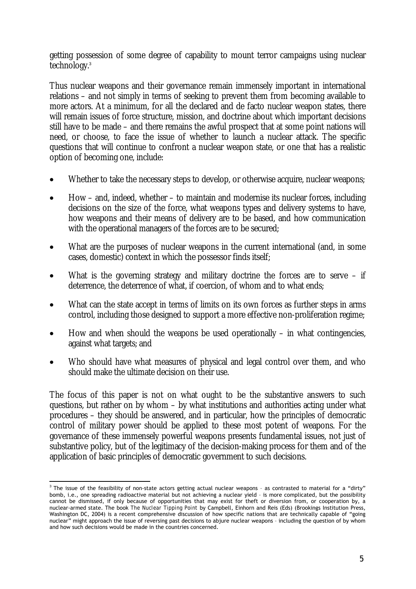getting possession of some degree of capability to mount terror campaigns using nuclear technology.<sup>3</sup>

Thus nuclear weapons and their governance remain immensely important in international relations – and not simply in terms of seeking to prevent them from becoming available to more actors. At a minimum, for all the declared and de facto nuclear weapon states, there will remain issues of force structure, mission, and doctrine about which important decisions still have to be made – and there remains the awful prospect that at some point nations will need, or choose, to face the issue of whether to launch a nuclear attack. The specific questions that will continue to confront a nuclear weapon state, or one that has a realistic option of becoming one, include:

- Whether to take the necessary steps to develop, or otherwise acquire, nuclear weapons;
- How and, indeed, whether to maintain and modernise its nuclear forces, including decisions on the size of the force, what weapons types and delivery systems to have, how weapons and their means of delivery are to be based, and how communication with the operational managers of the forces are to be secured;
- What are the purposes of nuclear weapons in the current international (and, in some cases, domestic) context in which the possessor finds itself;
- What is the governing strategy and military doctrine the forces are to serve  $-$  if deterrence, the deterrence of what, if coercion, of whom and to what ends;
- What can the state accept in terms of limits on its own forces as further steps in arms control, including those designed to support a more effective non-proliferation regime;
- How and when should the weapons be used operationally in what contingencies, against what targets; and
- Who should have what measures of physical and legal control over them, and who should make the ultimate decision on their use.

The focus of this paper is not on what ought to be the substantive answers to such questions, but rather on by whom – by what institutions and authorities acting under what procedures – they should be answered, and in particular, how the principles of democratic control of military power should be applied to these most potent of weapons. For the governance of these immensely powerful weapons presents fundamental issues, not just of substantive policy, but of the legitimacy of the decision-making process for them and of the application of basic principles of democratic government to such decisions.

<sup>1</sup>  $3$  The issue of the feasibility of non-state actors getting actual nuclear weapons - as contrasted to material for a "dirty" bomb, i.e., one spreading radioactive material but not achieving a nuclear yield – is more complicated, but the possibility cannot be dismissed, if only because of opportunities that may exist for theft or diversion from, or cooperation by, a nuclear-armed state. The book *The Nuclear Tipping Point* by Campbell, Einhorn and Reis (Eds) (Brookings Institution Press, Washington DC, 2004) is a recent comprehensive discussion of how specific nations that are technically capable of "going nuclear" might approach the issue of reversing past decisions to abjure nuclear weapons – including the question of by whom and how such decisions would be made in the countries concerned.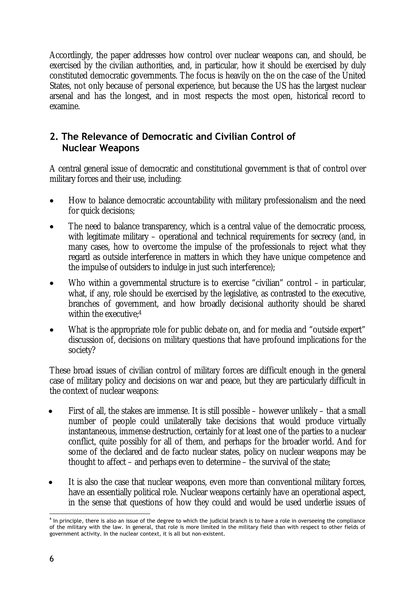Accordingly, the paper addresses how control over nuclear weapons can, and should, be exercised by the civilian authorities, and, in particular, how it should be exercised by duly constituted democratic governments. The focus is heavily on the on the case of the United States, not only because of personal experience, but because the US has the largest nuclear arsenal and has the longest, and in most respects the most open, historical record to examine.

# **2. The Relevance of Democratic and Civilian Control of Nuclear Weapons**

A central general issue of democratic and constitutional government is that of control over military forces and their use, including:

- How to balance democratic accountability with military professionalism and the need for quick decisions;
- The need to balance transparency, which is a central value of the democratic process, with legitimate military – operational and technical requirements for secrecy (and, in many cases, how to overcome the impulse of the professionals to reject what they regard as outside interference in matters in which they have unique competence and the impulse of outsiders to indulge in just such interference);
- Who within a governmental structure is to exercise "civilian" control  $-$  in particular, what, if any, role should be exercised by the legislative, as contrasted to the executive, branches of government, and how broadly decisional authority should be shared within the executive;4
- What is the appropriate role for public debate on, and for media and "outside expert" discussion of, decisions on military questions that have profound implications for the society?

These broad issues of civilian control of military forces are difficult enough in the general case of military policy and decisions on war and peace, but they are particularly difficult in the context of nuclear weapons:

- First of all, the stakes are immense. It is still possible however unlikely that a small number of people could unilaterally take decisions that would produce virtually instantaneous, immense destruction, certainly for at least one of the parties to a nuclear conflict, quite possibly for all of them, and perhaps for the broader world. And for some of the declared and de facto nuclear states, policy on nuclear weapons may be thought to affect – and perhaps even to determine – the survival of the state;
- It is also the case that nuclear weapons, even more than conventional military forces, have an essentially political role. Nuclear weapons certainly have an operational aspect, in the sense that questions of how they could and would be used underlie issues of

<sup>&</sup>lt;u>.</u> <sup>4</sup> In principle, there is also an issue of the degree to which the judicial branch is to have a role in overseeing the compliance of the military with the law. In general, that role is more limited in the military field than with respect to other fields of government activity. In the nuclear context, it is all but non-existent.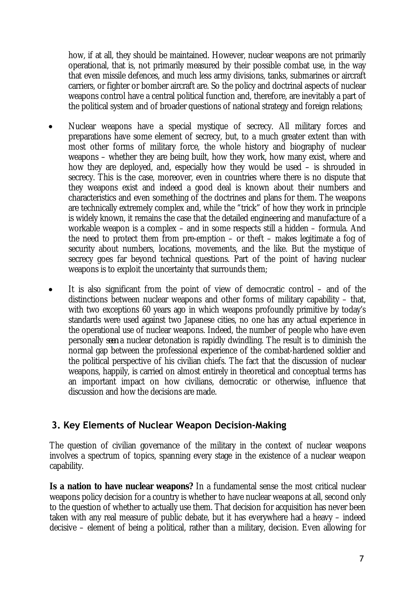how, if at all, they should be maintained. However, nuclear weapons are not primarily operational, that is, not primarily measured by their possible combat use, in the way that even missile defences, and much less army divisions, tanks, submarines or aircraft carriers, or fighter or bomber aircraft are. So the policy and doctrinal aspects of nuclear weapons control have a central political function and, therefore, are inevitably a part of the political system and of broader questions of national strategy and foreign relations;

- Nuclear weapons have a special mystique of secrecy. All military forces and preparations have some element of secrecy, but, to a much greater extent than with most other forms of military force, the whole history and biography of nuclear weapons – whether they are being built, how they work, how many exist, where and how they are deployed, and, especially how they would be used – is shrouded in secrecy. This is the case, moreover, even in countries where there is no dispute that they weapons exist and indeed a good deal is known about their numbers and characteristics and even something of the doctrines and plans for them. The weapons are technically extremely complex and, while the "trick" of how they work in principle is widely known, it remains the case that the detailed engineering and manufacture of a workable weapon is a complex – and in some respects still a hidden – formula. And the need to protect them from pre-emption – or theft – makes legitimate a fog of security about numbers, locations, movements, and the like. But the mystique of secrecy goes far beyond technical questions. Part of the point of having nuclear weapons is to exploit the uncertainty that surrounds them;
- It is also significant from the point of view of democratic control  $-$  and of the distinctions between nuclear weapons and other forms of military capability – that, with two exceptions 60 years ago in which weapons profoundly primitive by today's standards were used against two Japanese cities, no one has any actual experience in the operational use of nuclear weapons. Indeed, the number of people who have even personally *seen* a nuclear detonation is rapidly dwindling. The result is to diminish the normal gap between the professional experience of the combat-hardened soldier and the political perspective of his civilian chiefs. The fact that the discussion of nuclear weapons, happily, is carried on almost entirely in theoretical and conceptual terms has an important impact on how civilians, democratic or otherwise, influence that discussion and how the decisions are made.

### **3. Key Elements of Nuclear Weapon Decision-Making**

The question of civilian governance of the military in the context of nuclear weapons involves a spectrum of topics, spanning every stage in the existence of a nuclear weapon capability.

**Is a nation to have nuclear weapons?** In a fundamental sense the most critical nuclear weapons policy decision for a country is whether to have nuclear weapons at all, second only to the question of whether to actually use them. That decision for acquisition has never been taken with any real measure of public debate, but it has everywhere had a heavy – indeed decisive – element of being a political, rather than a military, decision. Even allowing for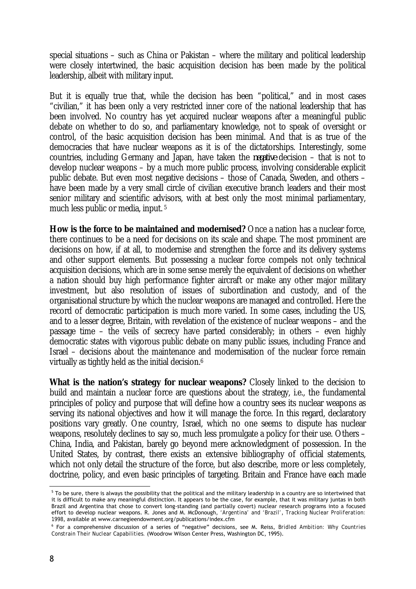special situations – such as China or Pakistan – where the military and political leadership were closely intertwined, the basic acquisition decision has been made by the political leadership, albeit with military input.

But it is equally true that, while the decision has been "political," and in most cases "civilian," it has been only a very restricted inner core of the national leadership that has been involved. No country has yet acquired nuclear weapons after a meaningful public debate on whether to do so, and parliamentary knowledge, not to speak of oversight or control, of the basic acquisition decision has been minimal. And that is as true of the democracies that have nuclear weapons as it is of the dictatorships. Interestingly, some countries, including Germany and Japan, have taken the *negative* decision – that is not to develop nuclear weapons – by a much more public process, involving considerable explicit public debate. But even most negative decisions – those of Canada, Sweden, and others – have been made by a very small circle of civilian executive branch leaders and their most senior military and scientific advisors, with at best only the most minimal parliamentary, much less public or media, input. 5

**How is the force to be maintained and modernised?** Once a nation has a nuclear force, there continues to be a need for decisions on its scale and shape. The most prominent are decisions on how, if at all, to modernise and strengthen the force and its delivery systems and other support elements. But possessing a nuclear force compels not only technical acquisition decisions, which are in some sense merely the equivalent of decisions on whether a nation should buy high performance fighter aircraft or make any other major military investment, but also resolution of issues of subordination and custody, and of the organisational structure by which the nuclear weapons are managed and controlled. Here the record of democratic participation is much more varied. In some cases, including the US, and to a lesser degree, Britain, with revelation of the existence of nuclear weapons – and the passage time – the veils of secrecy have parted considerably; in others – even highly democratic states with vigorous public debate on many public issues, including France and Israel – decisions about the maintenance and modernisation of the nuclear force remain virtually as tightly held as the initial decision.6

What is the nation's strategy for nuclear weapons? Closely linked to the decision to build and maintain a nuclear force are questions about the strategy, i.e., the fundamental principles of policy and purpose that will define how a country sees its nuclear weapons as serving its national objectives and how it will manage the force. In this regard, declaratory positions vary greatly. One country, Israel, which no one seems to dispute has nuclear weapons, resolutely declines to say so, much less promulgate a policy for their use. Others – China, India, and Pakistan, barely go beyond mere acknowledgment of possession. In the United States, by contrast, there exists an extensive bibliography of official statements, which not only detail the structure of the force, but also describe, more or less completely, doctrine, policy, and even basic principles of targeting. Britain and France have each made

1

 $^5$  To be sure, there is always the possibility that the political and the military leadership in a country are so intertwined that it is difficult to make any meaningful distinction. It appears to be the case, for example, that it was military juntas in both Brazil and Argentina that chose to convert long-standing (and partially covert) nuclear research programs into a focused effort to develop nuclear weapons. R. Jones and M. McDonough, *'Argentina' and 'Brazil'*, *Tracking Nuclear Proliferation: <sup>1998</sup>*, available at www.carnegieendowment.org/publications/index.cfm 6

For a comprehensive discussion of a series of "negative" decisions, see M. Reiss, *Bridled Ambition: Why Countries Constrain Their Nuclear Capabilities.* (Woodrow Wilson Center Press, Washington DC, 1995).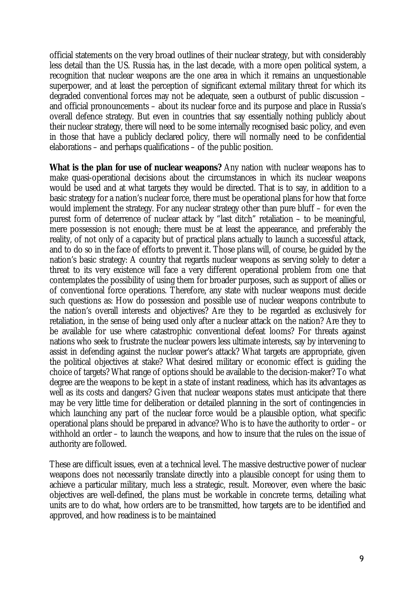official statements on the very broad outlines of their nuclear strategy, but with considerably less detail than the US. Russia has, in the last decade, with a more open political system, a recognition that nuclear weapons are the one area in which it remains an unquestionable superpower, and at least the perception of significant external military threat for which its degraded conventional forces may not be adequate, seen a outburst of public discussion – and official pronouncements – about its nuclear force and its purpose and place in Russia's overall defence strategy. But even in countries that say essentially nothing publicly about their nuclear strategy, there will need to be some internally recognised basic policy, and even in those that have a publicly declared policy, there will normally need to be confidential elaborations – and perhaps qualifications – of the public position.

**What is the plan for use of nuclear weapons?** Any nation with nuclear weapons has to make quasi-operational decisions about the circumstances in which its nuclear weapons would be used and at what targets they would be directed. That is to say, in addition to a basic strategy for a nation's nuclear force, there must be operational plans for how that force would implement the strategy. For any nuclear strategy other than pure bluff – for even the purest form of deterrence of nuclear attack by "last ditch" retaliation – to be meaningful, mere possession is not enough; there must be at least the appearance, and preferably the reality, of not only of a capacity but of practical plans actually to launch a successful attack, and to do so in the face of efforts to prevent it. Those plans will, of course, be guided by the nation's basic strategy: A country that regards nuclear weapons as serving solely to deter a threat to its very existence will face a very different operational problem from one that contemplates the possibility of using them for broader purposes, such as support of allies or of conventional force operations. Therefore, any state with nuclear weapons must decide such questions as: How do possession and possible use of nuclear weapons contribute to the nation's overall interests and objectives? Are they to be regarded as exclusively for retaliation, in the sense of being used only after a nuclear attack on the nation? Are they to be available for use where catastrophic conventional defeat looms? For threats against nations who seek to frustrate the nuclear powers less ultimate interests, say by intervening to assist in defending against the nuclear power's attack? What targets are appropriate, given the political objectives at stake? What desired military or economic effect is guiding the choice of targets? What range of options should be available to the decision-maker? To what degree are the weapons to be kept in a state of instant readiness, which has its advantages as well as its costs and dangers? Given that nuclear weapons states must anticipate that there may be very little time for deliberation or detailed planning in the sort of contingencies in which launching any part of the nuclear force would be a plausible option, what specific operational plans should be prepared in advance? Who is to have the authority to order – or withhold an order – to launch the weapons, and how to insure that the rules on the issue of authority are followed.

These are difficult issues, even at a technical level. The massive destructive power of nuclear weapons does not necessarily translate directly into a plausible concept for using them to achieve a particular military, much less a strategic, result. Moreover, even where the basic objectives are well-defined, the plans must be workable in concrete terms, detailing what units are to do what, how orders are to be transmitted, how targets are to be identified and approved, and how readiness is to be maintained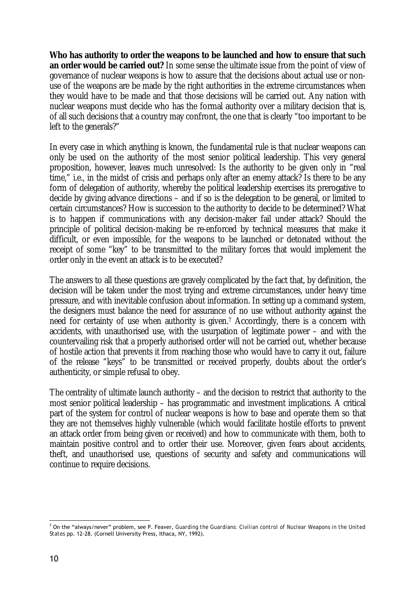**Who has authority to order the weapons to be launched and how to ensure that such an order would be carried out?** In some sense the ultimate issue from the point of view of governance of nuclear weapons is how to assure that the decisions about actual use or nonuse of the weapons are be made by the right authorities in the extreme circumstances when they would have to be made and that those decisions will be carried out. Any nation with nuclear weapons must decide who has the formal authority over a military decision that is, of all such decisions that a country may confront, the one that is clearly "too important to be left to the generals?"

In every case in which anything is known, the fundamental rule is that nuclear weapons can only be used on the authority of the most senior political leadership. This very general proposition, however, leaves much unresolved: Is the authority to be given only in "real time," i.e., in the midst of crisis and perhaps only after an enemy attack? Is there to be any form of delegation of authority, whereby the political leadership exercises its prerogative to decide by giving advance directions – and if so is the delegation to be general, or limited to certain circumstances? How is succession to the authority to decide to be determined? What is to happen if communications with any decision-maker fail under attack? Should the principle of political decision-making be re-enforced by technical measures that make it difficult, or even impossible, for the weapons to be launched or detonated without the receipt of some "key" to be transmitted to the military forces that would implement the order only in the event an attack is to be executed?

The answers to all these questions are gravely complicated by the fact that, by definition, the decision will be taken under the most trying and extreme circumstances, under heavy time pressure, and with inevitable confusion about information. In setting up a command system, the designers must balance the need for assurance of no use without authority against the need for certainty of use when authority is given.7 Accordingly, there is a concern with accidents, with unauthorised use, with the usurpation of legitimate power – and with the countervailing risk that a properly authorised order will not be carried out, whether because of hostile action that prevents it from reaching those who would have to carry it out, failure of the release "keys" to be transmitted or received properly, doubts about the order's authenticity, or simple refusal to obey.

The centrality of ultimate launch authority – and the decision to restrict that authority to the most senior political leadership – has programmatic and investment implications. A critical part of the system for control of nuclear weapons is how to base and operate them so that they are not themselves highly vulnerable (which would facilitate hostile efforts to prevent an attack order from being given or received) and how to communicate with them, both to maintain positive control and to order their use. Moreover, given fears about accidents, theft, and unauthorised use, questions of security and safety and communications will continue to require decisions.

 7 On the "always/never" problem, see P. Feaver, *Guarding the Guardians: Civilian control of Nuclear Weapons in the United States* pp. 12-28. (Cornell University Press, Ithaca, NY, 1992).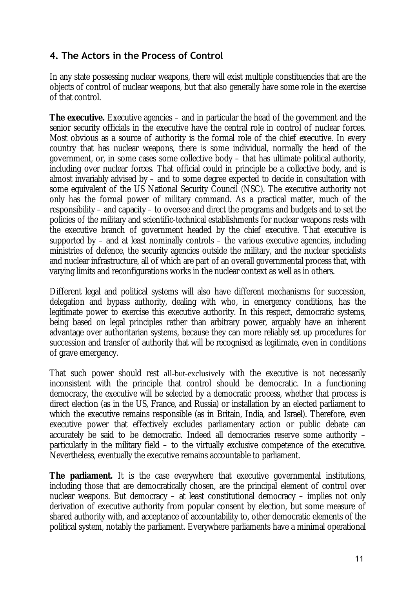# **4. The Actors in the Process of Control**

In any state possessing nuclear weapons, there will exist multiple constituencies that are the objects of control of nuclear weapons, but that also generally have some role in the exercise of that control.

**The executive.** Executive agencies – and in particular the head of the government and the senior security officials in the executive have the central role in control of nuclear forces. Most obvious as a source of authority is the formal role of the chief executive. In every country that has nuclear weapons, there is some individual, normally the head of the government, or, in some cases some collective body – that has ultimate political authority, including over nuclear forces. That official could in principle be a collective body, and is almost invariably advised by – and to some degree expected to decide in consultation with some equivalent of the US National Security Council (NSC). The executive authority not only has the formal power of military command. As a practical matter, much of the responsibility – and capacity – to oversee and direct the programs and budgets and to set the policies of the military and scientific-technical establishments for nuclear weapons rests with the executive branch of government headed by the chief executive. That executive is supported by  $-$  and at least nominally controls  $-$  the various executive agencies, including ministries of defence, the security agencies outside the military, and the nuclear specialists and nuclear infrastructure, all of which are part of an overall governmental process that, with varying limits and reconfigurations works in the nuclear context as well as in others.

Different legal and political systems will also have different mechanisms for succession, delegation and bypass authority, dealing with who, in emergency conditions, has the legitimate power to exercise this executive authority. In this respect, democratic systems, being based on legal principles rather than arbitrary power, arguably have an inherent advantage over authoritarian systems, because they can more reliably set up procedures for succession and transfer of authority that will be recognised as legitimate, even in conditions of grave emergency.

That such power should rest all-but-exclusively with the executive is not necessarily inconsistent with the principle that control should be democratic. In a functioning democracy, the executive will be selected by a democratic process, whether that process is direct election (as in the US, France, and Russia) or installation by an elected parliament to which the executive remains responsible (as in Britain, India, and Israel). Therefore, even executive power that effectively excludes parliamentary action or public debate can accurately be said to be democratic. Indeed all democracies reserve some authority – particularly in the military field – to the virtually exclusive competence of the executive. Nevertheless, eventually the executive remains accountable to parliament.

**The parliament.** It is the case everywhere that executive governmental institutions, including those that are democratically chosen, are the principal element of control over nuclear weapons. But democracy – at least constitutional democracy – implies not only derivation of executive authority from popular consent by election, but some measure of shared authority with, and acceptance of accountability to, other democratic elements of the political system, notably the parliament. Everywhere parliaments have a minimal operational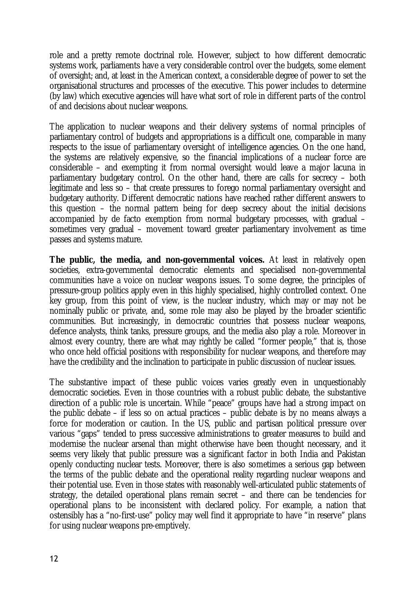role and a pretty remote doctrinal role. However, subject to how different democratic systems work, parliaments have a very considerable control over the budgets, some element of oversight; and, at least in the American context, a considerable degree of power to set the organisational structures and processes of the executive. This power includes to determine (by law) which executive agencies will have what sort of role in different parts of the control of and decisions about nuclear weapons.

The application to nuclear weapons and their delivery systems of normal principles of parliamentary control of budgets and appropriations is a difficult one, comparable in many respects to the issue of parliamentary oversight of intelligence agencies. On the one hand, the systems are relatively expensive, so the financial implications of a nuclear force are considerable – and exempting it from normal oversight would leave a major lacuna in parliamentary budgetary control. On the other hand, there are calls for secrecy – both legitimate and less so – that create pressures to forego normal parliamentary oversight and budgetary authority. Different democratic nations have reached rather different answers to this question – the normal pattern being for deep secrecy about the initial decisions accompanied by de facto exemption from normal budgetary processes, with gradual – sometimes very gradual – movement toward greater parliamentary involvement as time passes and systems mature.

**The public, the media, and non-governmental voices.** At least in relatively open societies, extra-governmental democratic elements and specialised non-governmental communities have a voice on nuclear weapons issues. To some degree, the principles of pressure-group politics apply even in this highly specialised, highly controlled context. One key group, from this point of view, is the nuclear industry, which may or may not be nominally public or private, and, some role may also be played by the broader scientific communities. But increasingly, in democratic countries that possess nuclear weapons, defence analysts, think tanks, pressure groups, and the media also play a role. Moreover in almost every country, there are what may rightly be called "former people," that is, those who once held official positions with responsibility for nuclear weapons, and therefore may have the credibility and the inclination to participate in public discussion of nuclear issues.

The substantive impact of these public voices varies greatly even in unquestionably democratic societies. Even in those countries with a robust public debate, the substantive direction of a public role is uncertain. While "peace" groups have had a strong impact on the public debate – if less so on actual practices – public debate is by no means always a force for moderation or caution. In the US, public and partisan political pressure over various "gaps" tended to press successive administrations to greater measures to build and modernise the nuclear arsenal than might otherwise have been thought necessary, and it seems very likely that public pressure was a significant factor in both India and Pakistan openly conducting nuclear tests. Moreover, there is also sometimes a serious gap between the terms of the public debate and the operational reality regarding nuclear weapons and their potential use. Even in those states with reasonably well-articulated public statements of strategy, the detailed operational plans remain secret – and there can be tendencies for operational plans to be inconsistent with declared policy. For example, a nation that ostensibly has a "no-first-use" policy may well find it appropriate to have "in reserve" plans for using nuclear weapons pre-emptively.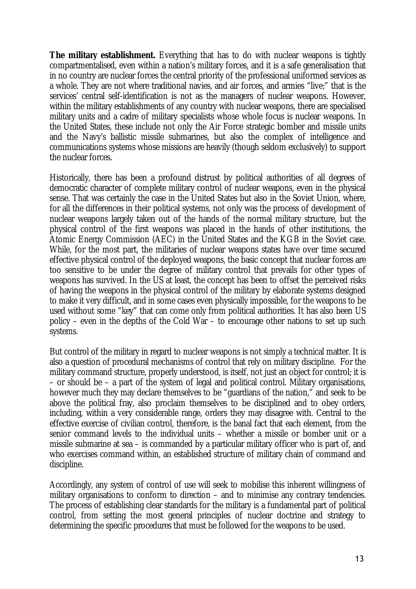**The military establishment.** Everything that has to do with nuclear weapons is tightly compartmentalised, even within a nation's military forces, and it is a safe generalisation that in no country are nuclear forces the central priority of the professional uniformed services as a whole. They are not where traditional navies, and air forces, and armies "live;" that is the services' central self-identification is not as the managers of nuclear weapons. However, within the military establishments of any country with nuclear weapons, there are specialised military units and a cadre of military specialists whose whole focus is nuclear weapons. In the United States, these include not only the Air Force strategic bomber and missile units and the Navy's ballistic missile submarines, but also the complex of intelligence and communications systems whose missions are heavily (though seldom exclusively) to support the nuclear forces.

Historically, there has been a profound distrust by political authorities of all degrees of democratic character of complete military control of nuclear weapons, even in the physical sense. That was certainly the case in the United States but also in the Soviet Union, where, for all the differences in their political systems, not only was the process of development of nuclear weapons largely taken out of the hands of the normal military structure, but the physical control of the first weapons was placed in the hands of other institutions, the Atomic Energy Commission (AEC) in the United States and the KGB in the Soviet case. While, for the most part, the militaries of nuclear weapons states have over time secured effective physical control of the deployed weapons, the basic concept that nuclear forces are too sensitive to be under the degree of military control that prevails for other types of weapons has survived. In the US at least, the concept has been to offset the perceived risks of having the weapons in the physical control of the military by elaborate systems designed to make it very difficult, and in some cases even physically impossible, for the weapons to be used without some "key" that can come only from political authorities. It has also been US policy – even in the depths of the Cold War – to encourage other nations to set up such systems.

But control of the military in regard to nuclear weapons is not simply a technical matter. It is also a question of procedural mechanisms of control that rely on military discipline. For the military command structure, properly understood, is itself, not just an object for control; it is – or should be – a part of the system of legal and political control. Military organisations, however much they may declare themselves to be "guardians of the nation," and seek to be above the political fray, also proclaim themselves to be disciplined and to obey orders, including, within a very considerable range, orders they may disagree with. Central to the effective exercise of civilian control, therefore, is the banal fact that each element, from the senior command levels to the individual units – whether a missile or bomber unit or a missile submarine at sea – is commanded by a particular military officer who is part of, and who exercises command within, an established structure of military chain of command and discipline.

Accordingly, any system of control of use will seek to mobilise this inherent willingness of military organisations to conform to direction – and to minimise any contrary tendencies. The process of establishing clear standards for the military is a fundamental part of political control, from setting the most general principles of nuclear doctrine and strategy to determining the specific procedures that must be followed for the weapons to be used.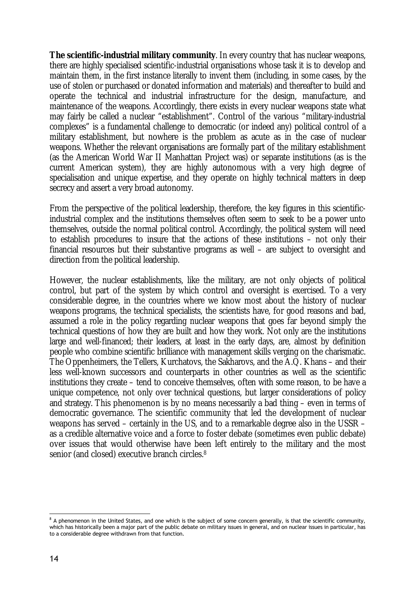**The scientific-industrial military community**. In every country that has nuclear weapons, there are highly specialised scientific-industrial organisations whose task it is to develop and maintain them, in the first instance literally to invent them (including, in some cases, by the use of stolen or purchased or donated information and materials) and thereafter to build and operate the technical and industrial infrastructure for the design, manufacture, and maintenance of the weapons. Accordingly, there exists in every nuclear weapons state what may fairly be called a nuclear "establishment". Control of the various "military-industrial complexes" is a fundamental challenge to democratic (or indeed any) political control of a military establishment, but nowhere is the problem as acute as in the case of nuclear weapons. Whether the relevant organisations are formally part of the military establishment (as the American World War II Manhattan Project was) or separate institutions (as is the current American system), they are highly autonomous with a very high degree of specialisation and unique expertise, and they operate on highly technical matters in deep secrecy and assert a very broad autonomy.

From the perspective of the political leadership, therefore, the key figures in this scientificindustrial complex and the institutions themselves often seem to seek to be a power unto themselves, outside the normal political control. Accordingly, the political system will need to establish procedures to insure that the actions of these institutions – not only their financial resources but their substantive programs as well – are subject to oversight and direction from the political leadership.

However, the nuclear establishments, like the military, are not only objects of political control, but part of the system by which control and oversight is exercised. To a very considerable degree, in the countries where we know most about the history of nuclear weapons programs, the technical specialists, the scientists have, for good reasons and bad, assumed a role in the policy regarding nuclear weapons that goes far beyond simply the technical questions of how they are built and how they work. Not only are the institutions large and well-financed; their leaders, at least in the early days, are, almost by definition people who combine scientific brilliance with management skills verging on the charismatic. The Oppenheimers, the Tellers, Kurchatovs, the Sakharovs, and the A.Q. Khans – and their less well-known successors and counterparts in other countries as well as the scientific institutions they create – tend to conceive themselves, often with some reason, to be have a unique competence, not only over technical questions, but larger considerations of policy and strategy. This phenomenon is by no means necessarily a bad thing – even in terms of democratic governance. The scientific community that led the development of nuclear weapons has served – certainly in the US, and to a remarkable degree also in the USSR – as a credible alternative voice and a force to foster debate (sometimes even public debate) over issues that would otherwise have been left entirely to the military and the most senior (and closed) executive branch circles.8

 8 A phenomenon in the United States, and one which is the subject of some concern generally, is that the scientific community, which has historically been a major part of the public debate on military issues in general, and on nuclear issues in particular, has to a considerable degree withdrawn from that function.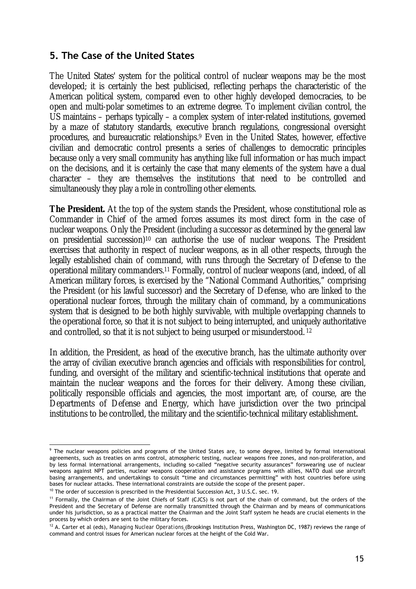### **5. The Case of the United States**

The United States' system for the political control of nuclear weapons may be the most developed; it is certainly the best publicised, reflecting perhaps the characteristic of the American political system, compared even to other highly developed democracies, to be open and multi-polar sometimes to an extreme degree. To implement civilian control, the US maintains – perhaps typically – a complex system of inter-related institutions, governed by a maze of statutory standards, executive branch regulations, congressional oversight procedures, and bureaucratic relationships.9 Even in the United States, however, effective civilian and democratic control presents a series of challenges to democratic principles because only a very small community has anything like full information or has much impact on the decisions, and it is certainly the case that many elements of the system have a dual character – they are themselves the institutions that need to be controlled and simultaneously they play a role in controlling other elements.

**The President.** At the top of the system stands the President, whose constitutional role as Commander in Chief of the armed forces assumes its most direct form in the case of nuclear weapons. Only the President (including a successor as determined by the general law on presidential succession)10 can authorise the use of nuclear weapons. The President exercises that authority in respect of nuclear weapons, as in all other respects, through the legally established chain of command, with runs through the Secretary of Defense to the operational military commanders.11 Formally, control of nuclear weapons (and, indeed, of all American military forces, is exercised by the "National Command Authorities," comprising the President (or his lawful successor) and the Secretary of Defense, who are linked to the operational nuclear forces, through the military chain of command, by a communications system that is designed to be both highly survivable, with multiple overlapping channels to the operational force, so that it is not subject to being interrupted, and uniquely authoritative and controlled, so that it is not subject to being usurped or misunderstood. 12

In addition, the President, as head of the executive branch, has the ultimate authority over the array of civilian executive branch agencies and officials with responsibilities for control, funding, and oversight of the military and scientific-technical institutions that operate and maintain the nuclear weapons and the forces for their delivery. Among these civilian, politically responsible officials and agencies, the most important are, of course, are the Departments of Defense and Energy, which have jurisdiction over the two principal institutions to be controlled, the military and the scientific-technical military establishment.

 9 The nuclear weapons policies and programs of the United States are, to some degree, limited by formal international agreements, such as treaties on arms control, atmospheric testing, nuclear weapons free zones, and non-proliferation, and by less formal international arrangements, including so-called "negative security assurances" forswearing use of nuclear weapons against NPT parties, nuclear weapons cooperation and assistance programs with allies, NATO dual use aircraft basing arrangements, and undertakings to consult "time and circumstances permitting" with host countries before using bases for nuclear attacks. These international constraints are outside the scope of the present paper.

<sup>&</sup>lt;sup>10</sup> The order of succession is prescribed in the Presidential Succession Act, 3 U.S.C. sec. 19.<br><sup>11</sup> Formally, the Chairman of the Joint Chiefs of Staff (CJCS) is not part of the chain of command, but the orders of the President and the Secretary of Defense are normally transmitted through the Chairman and by means of communications under his jurisdiction, so as a practical matter the Chairman and the Joint Staff system he heads are crucial elements in the process by which orders are sent to the military forces.

<sup>12</sup> A. Carter et al (eds), *Managing Nuclear Operations* (Brookings Institution Press, Washington DC, 1987) reviews the range of command and control issues for American nuclear forces at the height of the Cold War.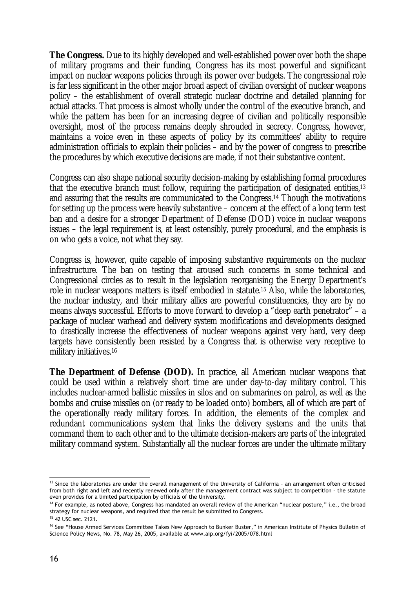**The Congress.** Due to its highly developed and well-established power over both the shape of military programs and their funding, Congress has its most powerful and significant impact on nuclear weapons policies through its power over budgets. The congressional role is far less significant in the other major broad aspect of civilian oversight of nuclear weapons policy – the establishment of overall strategic nuclear doctrine and detailed planning for actual attacks. That process is almost wholly under the control of the executive branch, and while the pattern has been for an increasing degree of civilian and politically responsible oversight, most of the process remains deeply shrouded in secrecy. Congress, however, maintains a voice even in these aspects of policy by its committees' ability to require administration officials to explain their policies – and by the power of congress to prescribe the procedures by which executive decisions are made, if not their substantive content.

Congress can also shape national security decision-making by establishing formal procedures that the executive branch must follow, requiring the participation of designated entities,13 and assuring that the results are communicated to the Congress.14 Though the motivations for setting up the process were heavily substantive – concern at the effect of a long term test ban and a desire for a stronger Department of Defense (DOD) voice in nuclear weapons issues – the legal requirement is, at least ostensibly, purely procedural, and the emphasis is on who gets a voice, not what they say.

Congress is, however, quite capable of imposing substantive requirements on the nuclear infrastructure. The ban on testing that aroused such concerns in some technical and Congressional circles as to result in the legislation reorganising the Energy Department's role in nuclear weapons matters is itself embodied in statute.15 Also, while the laboratories, the nuclear industry, and their military allies are powerful constituencies, they are by no means always successful. Efforts to move forward to develop a "deep earth penetrator" – a package of nuclear warhead and delivery system modifications and developments designed to drastically increase the effectiveness of nuclear weapons against very hard, very deep targets have consistently been resisted by a Congress that is otherwise very receptive to military initiatives.16

**The Department of Defense (DOD).** In practice, all American nuclear weapons that could be used within a relatively short time are under day-to-day military control. This includes nuclear-armed ballistic missiles in silos and on submarines on patrol, as well as the bombs and cruise missiles on (or ready to be loaded onto) bombers, all of which are part of the operationally ready military forces. In addition, the elements of the complex and redundant communications system that links the delivery systems and the units that command them to each other and to the ultimate decision-makers are parts of the integrated military command system. Substantially all the nuclear forces are under the ultimate military

<sup>&</sup>lt;u>.</u> 13 Since the laboratories are under the overall management of the University of California - an arrangement often criticised from both right and left and recently renewed only after the management contract was subject to competition – the statute even provides for a limited participation by officials of the University.

<sup>14</sup> For example, as noted above, Congress has mandated an overall review of the American "nuclear posture," i.e., the broad strategy for nuclear weapons, and required that the result be submitted to Congress.

<sup>15 42</sup> USC sec. 2121.

<sup>&</sup>lt;sup>16</sup> See "House Armed Services Committee Takes New Approach to Bunker Buster," in American Institute of Physics Bulletin of Science Policy News, No. 78, May 26, 2005, available at www.aip.org/fyi/2005/078.html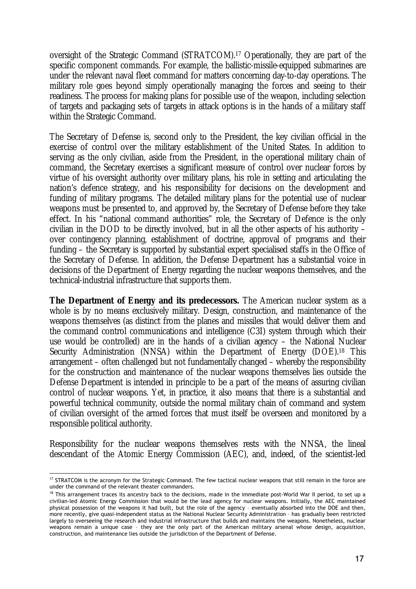oversight of the Strategic Command (STRATCOM).17 Operationally, they are part of the specific component commands. For example, the ballistic-missile-equipped submarines are under the relevant naval fleet command for matters concerning day-to-day operations. The military role goes beyond simply operationally managing the forces and seeing to their readiness. The process for making plans for possible use of the weapon, including selection of targets and packaging sets of targets in attack options is in the hands of a military staff within the Strategic Command.

The Secretary of Defense is, second only to the President, the key civilian official in the exercise of control over the military establishment of the United States. In addition to serving as the only civilian, aside from the President, in the operational military chain of command, the Secretary exercises a significant measure of control over nuclear forces by virtue of his oversight authority over military plans, his role in setting and articulating the nation's defence strategy, and his responsibility for decisions on the development and funding of military programs. The detailed military plans for the potential use of nuclear weapons must be presented to, and approved by, the Secretary of Defense before they take effect. In his "national command authorities" role, the Secretary of Defence is the only civilian in the DOD to be directly involved, but in all the other aspects of his authority – over contingency planning, establishment of doctrine, approval of programs and their funding – the Secretary is supported by substantial expert specialised staffs in the Office of the Secretary of Defense. In addition, the Defense Department has a substantial voice in decisions of the Department of Energy regarding the nuclear weapons themselves, and the technical-industrial infrastructure that supports them.

**The Department of Energy and its predecessors.** The American nuclear system as a whole is by no means exclusively military. Design, construction, and maintenance of the weapons themselves (as distinct from the planes and missiles that would deliver them and the command control communications and intelligence (C3I) system through which their use would be controlled) are in the hands of a civilian agency – the National Nuclear Security Administration (NNSA) within the Department of Energy (DOE).<sup>18</sup> This arrangement – often challenged but not fundamentally changed – whereby the responsibility for the construction and maintenance of the nuclear weapons themselves lies outside the Defense Department is intended in principle to be a part of the means of assuring civilian control of nuclear weapons. Yet, in practice, it also means that there is a substantial and powerful technical community, outside the normal military chain of command and system of civilian oversight of the armed forces that must itself be overseen and monitored by a responsible political authority.

Responsibility for the nuclear weapons themselves rests with the NNSA, the lineal descendant of the Atomic Energy Commission (AEC), and, indeed, of the scientist-led

<sup>&</sup>lt;u>.</u>  $17$  STRATCOM is the acronym for the Strategic Command. The few tactical nuclear weapons that still remain in the force are under the command of the relevant theater commanders.

<sup>&</sup>lt;sup>18</sup> This arrangement traces its ancestry back to the decisions, made in the immediate post-World War II period, to set up a civilian-led Atomic Energy Commission that would be the lead agency for nuclear weapons. Initially, the AEC maintained physical possession of the weapons it had built, but the role of the agency – eventually absorbed into the DOE and then, more recently, give quasi-independent status as the National Nuclear Security Administration – has gradually been restricted largely to overseeing the research and industrial infrastructure that builds and maintains the weapons. Nonetheless, nuclear weapons remain a unique case – they are the only part of the American military arsenal whose design, acquisition, construction, and maintenance lies outside the jurisdiction of the Department of Defense.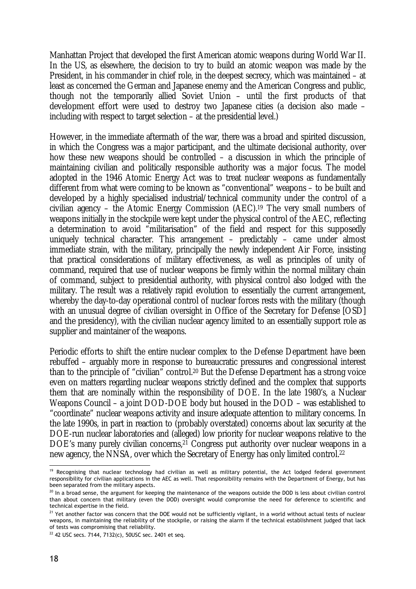Manhattan Project that developed the first American atomic weapons during World War II. In the US, as elsewhere, the decision to try to build an atomic weapon was made by the President, in his commander in chief role, in the deepest secrecy, which was maintained – at least as concerned the German and Japanese enemy and the American Congress and public, though not the temporarily allied Soviet Union – until the first products of that development effort were used to destroy two Japanese cities (a decision also made – including with respect to target selection – at the presidential level.)

However, in the immediate aftermath of the war, there was a broad and spirited discussion, in which the Congress was a major participant, and the ultimate decisional authority, over how these new weapons should be controlled – a discussion in which the principle of maintaining civilian and politically responsible authority was a major focus. The model adopted in the 1946 Atomic Energy Act was to treat nuclear weapons as fundamentally different from what were coming to be known as "conventional" weapons – to be built and developed by a highly specialised industrial/technical community under the control of a civilian agency – the Atomic Energy Commission (AEC).19 The very small numbers of weapons initially in the stockpile were kept under the physical control of the AEC, reflecting a determination to avoid "militarisation" of the field and respect for this supposedly uniquely technical character. This arrangement – predictably – came under almost immediate strain, with the military, principally the newly independent Air Force, insisting that practical considerations of military effectiveness, as well as principles of unity of command, required that use of nuclear weapons be firmly within the normal military chain of command, subject to presidential authority, with physical control also lodged with the military. The result was a relatively rapid evolution to essentially the current arrangement, whereby the day-to-day operational control of nuclear forces rests with the military (though with an unusual degree of civilian oversight in Office of the Secretary for Defense [OSD] and the presidency), with the civilian nuclear agency limited to an essentially support role as supplier and maintainer of the weapons.

Periodic efforts to shift the entire nuclear complex to the Defense Department have been rebuffed – arguably more in response to bureaucratic pressures and congressional interest than to the principle of "civilian" control.20 But the Defense Department has a strong voice even on matters regarding nuclear weapons strictly defined and the complex that supports them that are nominally within the responsibility of DOE. In the late 1980's, a Nuclear Weapons Council – a joint DOD-DOE body but housed in the DOD – was established to "coordinate" nuclear weapons activity and insure adequate attention to military concerns. In the late 1990s, in part in reaction to (probably overstated) concerns about lax security at the DOE-run nuclear laboratories and (alleged) low priority for nuclear weapons relative to the DOE's many purely civilian concerns,<sup>21</sup> Congress put authority over nuclear weapons in a new agency, the NNSA, over which the Secretary of Energy has only limited control.22

<sup>&</sup>lt;u>.</u> <sup>19</sup> Recognising that nuclear technology had civilian as well as military potential, the Act lodged federal government responsibility for civilian applications in the AEC as well. That responsibility remains with the Department of Energy, but has been separated from the military aspects.

<sup>&</sup>lt;sup>20</sup> In a broad sense, the argument for keeping the maintenance of the weapons outside the DOD is less about civilian control than about concern that military (even the DOD) oversight would compromise the need for deference to scientific and technical expertise in the field.

<sup>&</sup>lt;sup>21</sup> Yet another factor was concern that the DOE would not be sufficiently vigilant, in a world without actual tests of nuclear weapons, in maintaining the reliability of the stockpile, or raising the alarm if the technical establishment judged that lack of tests was compromising that reliability.

 $22$  42 USC secs. 7144, 7132(c), 50USC sec. 2401 et seq.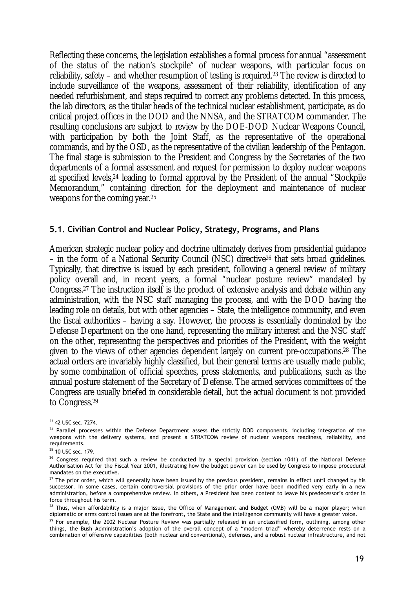Reflecting these concerns, the legislation establishes a formal process for annual "assessment of the status of the nation's stockpile" of nuclear weapons, with particular focus on reliability, safety – and whether resumption of testing is required.23 The review is directed to include surveillance of the weapons, assessment of their reliability, identification of any needed refurbishment, and steps required to correct any problems detected. In this process, the lab directors, as the titular heads of the technical nuclear establishment, participate, as do critical project offices in the DOD and the NNSA, and the STRATCOM commander. The resulting conclusions are subject to review by the DOE-DOD Nuclear Weapons Council, with participation by both the Joint Staff, as the representative of the operational commands, and by the OSD, as the representative of the civilian leadership of the Pentagon. The final stage is submission to the President and Congress by the Secretaries of the two departments of a formal assessment and request for permission to deploy nuclear weapons at specified levels,24 leading to formal approval by the President of the annual "Stockpile Memorandum," containing direction for the deployment and maintenance of nuclear weapons for the coming year.25

### **5.1. Civilian Control and Nuclear Policy, Strategy, Programs, and Plans**

American strategic nuclear policy and doctrine ultimately derives from presidential guidance – in the form of a National Security Council (NSC) directive26 that sets broad guidelines. Typically, that directive is issued by each president, following a general review of military policy overall and, in recent years, a formal "nuclear posture review" mandated by Congress.27 The instruction itself is the product of extensive analysis and debate within any administration, with the NSC staff managing the process, and with the DOD having the leading role on details, but with other agencies – State, the intelligence community, and even the fiscal authorities – having a say. However, the process is essentially dominated by the Defense Department on the one hand, representing the military interest and the NSC staff on the other, representing the perspectives and priorities of the President, with the weight given to the views of other agencies dependent largely on current pre-occupations.28 The actual orders are invariably highly classified, but their general terms are usually made public, by some combination of official speeches, press statements, and publications, such as the annual posture statement of the Secretary of Defense. The armed services committees of the Congress are usually briefed in considerable detail, but the actual document is not provided to Congress.29

<sup>1</sup>  $^{23}$  42 USC sec. 7274.

<sup>&</sup>lt;sup>24</sup> Parallel processes within the Defense Department assess the strictly DOD components, including integration of the weapons with the delivery systems, and present a STRATCOM review of nuclear weapons readiness, reliability, and requirements.

<sup>&</sup>lt;sup>25</sup> 10 USC sec. 179.

<sup>&</sup>lt;sup>26</sup> Congress required that such a review be conducted by a special provision (section 1041) of the National Defense Authorisation Act for the Fiscal Year 2001, illustrating how the budget power can be used by Congress to impose procedural mandates on the executive.

<sup>&</sup>lt;sup>27</sup> The prior order, which will generally have been issued by the previous president, remains in effect until changed by his successor. In some cases, certain controversial provisions of the prior order have been modified very early in a new administration, before a comprehensive review. In others, a President has been content to leave his predecessor's order in force throughout his term.

<sup>&</sup>lt;sup>28</sup> Thus, when affordability is a major issue, the Office of Management and Budget (OMB) will be a major player; when diplomatic or arms control issues are at the forefront, the State and the intelligence community will have a greater voice.

 $29$  For example, the 2002 Nuclear Posture Review was partially released in an unclassified form, outlining, among other things, the Bush Administration's adoption of the overall concept of a "modern triad" whereby deterrence rests on a combination of offensive capabilities (both nuclear and conventional), defenses, and a robust nuclear infrastructure, and not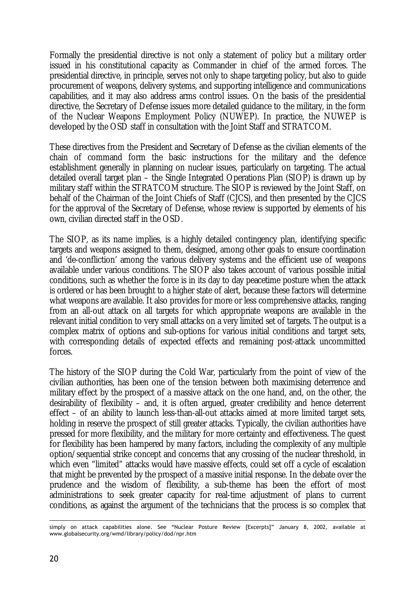Formally the presidential directive is not only a statement of policy but a military order issued in his constitutional capacity as Commander in chief of the armed forces. The presidential directive, in principle, serves not only to shape targeting policy, but also to guide procurement of weapons, delivery systems, and supporting intelligence and communications capabilities, and it may also address arms control issues. On the basis of the presidential directive, the Secretary of Defense issues more detailed guidance to the military, in the form of the Nuclear Weapons Employment Policy (NUWEP). In practice, the NUWEP is developed by the OSD staff in consultation with the Joint Staff and STRATCOM.

These directives from the President and Secretary of Defense as the civilian elements of the chain of command form the basic instructions for the military and the defence establishment generally in planning on nuclear issues, particularly on targeting. The actual detailed overall target plan – the Single Integrated Operations Plan (SIOP) is drawn up by military staff within the STRATCOM structure. The SIOP is reviewed by the Joint Staff, on behalf of the Chairman of the Joint Chiefs of Staff (CJCS), and then presented by the CJCS for the approval of the Secretary of Defense, whose review is supported by elements of his own, civilian directed staff in the OSD.

The SIOP, as its name implies, is a highly detailed contingency plan, identifying specific targets and weapons assigned to them, designed, among other goals to ensure coordination and 'de-confliction' among the various delivery systems and the efficient use of weapons available under various conditions. The SIOP also takes account of various possible initial conditions, such as whether the force is in its day to day peacetime posture when the attack is ordered or has been brought to a higher state of alert, because these factors will determine what weapons are available. It also provides for more or less comprehensive attacks, ranging from an all-out attack on all targets for which appropriate weapons are available in the relevant initial condition to very small attacks on a very limited set of targets. The output is a complex matrix of options and sub-options for various initial conditions and target sets, with corresponding details of expected effects and remaining post-attack uncommitted forces.

The history of the SIOP during the Cold War, particularly from the point of view of the civilian authorities, has been one of the tension between both maximising deterrence and military effect by the prospect of a massive attack on the one hand, and, on the other, the desirability of flexibility – and, it is often argued, greater credibility and hence deterrent effect – of an ability to launch less-than-all-out attacks aimed at more limited target sets, holding in reserve the prospect of still greater attacks. Typically, the civilian authorities have pressed for more flexibility, and the military for more certainty and effectiveness. The quest for flexibility has been hampered by many factors, including the complexity of any multiple option/sequential strike concept and concerns that any crossing of the nuclear threshold, in which even "limited" attacks would have massive effects, could set off a cycle of escalation that might be prevented by the prospect of a massive initial response. In the debate over the prudence and the wisdom of flexibility, a sub-theme has been the effort of most administrations to seek greater capacity for real-time adjustment of plans to current conditions, as against the argument of the technicians that the process is so complex that

<sup>1</sup> simply on attack capabilities alone. See "Nuclear Posture Review [Excerpts]" January 8, 2002, available at www.globalsecurity.org/wmd/library/policy/dod/npr.htm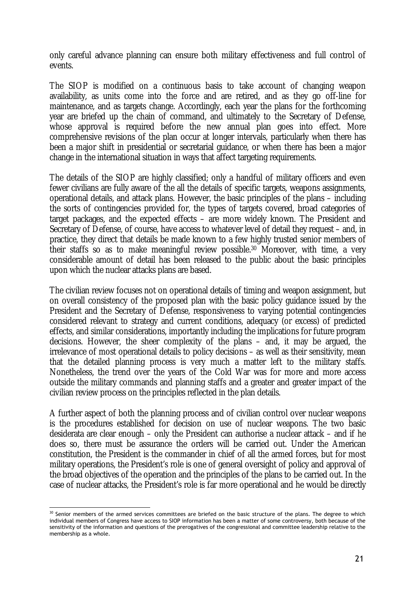only careful advance planning can ensure both military effectiveness and full control of events.

The SIOP is modified on a continuous basis to take account of changing weapon availability, as units come into the force and are retired, and as they go off-line for maintenance, and as targets change. Accordingly, each year the plans for the forthcoming year are briefed up the chain of command, and ultimately to the Secretary of Defense, whose approval is required before the new annual plan goes into effect. More comprehensive revisions of the plan occur at longer intervals, particularly when there has been a major shift in presidential or secretarial guidance, or when there has been a major change in the international situation in ways that affect targeting requirements.

The details of the SIOP are highly classified; only a handful of military officers and even fewer civilians are fully aware of the all the details of specific targets, weapons assignments, operational details, and attack plans. However, the basic principles of the plans – including the sorts of contingencies provided for, the types of targets covered, broad categories of target packages, and the expected effects – are more widely known. The President and Secretary of Defense, of course, have access to whatever level of detail they request – and, in practice, they direct that details be made known to a few highly trusted senior members of their staffs so as to make meaningful review possible.30 Moreover, with time, a very considerable amount of detail has been released to the public about the basic principles upon which the nuclear attacks plans are based.

The civilian review focuses not on operational details of timing and weapon assignment, but on overall consistency of the proposed plan with the basic policy guidance issued by the President and the Secretary of Defense, responsiveness to varying potential contingencies considered relevant to strategy and current conditions, adequacy (or excess) of predicted effects, and similar considerations, importantly including the implications for future program decisions. However, the sheer complexity of the plans – and, it may be argued, the irrelevance of most operational details to policy decisions – as well as their sensitivity, mean that the detailed planning process is very much a matter left to the military staffs. Nonetheless, the trend over the years of the Cold War was for more and more access outside the military commands and planning staffs and a greater and greater impact of the civilian review process on the principles reflected in the plan details.

A further aspect of both the planning process and of civilian control over nuclear weapons is the procedures established for decision on use of nuclear weapons. The two basic desiderata are clear enough – only the President can authorise a nuclear attack – and if he does so, there must be assurance the orders will be carried out. Under the American constitution, the President is the commander in chief of all the armed forces, but for most military operations, the President's role is one of general oversight of policy and approval of the broad objectives of the operation and the principles of the plans to be carried out. In the case of nuclear attacks, the President's role is far more operational and he would be directly

<sup>1</sup> <sup>30</sup> Senior members of the armed services committees are briefed on the basic structure of the plans. The degree to which individual members of Congress have access to SIOP information has been a matter of some controversy, both because of the sensitivity of the information and questions of the prerogatives of the congressional and committee leadership relative to the membership as a whole.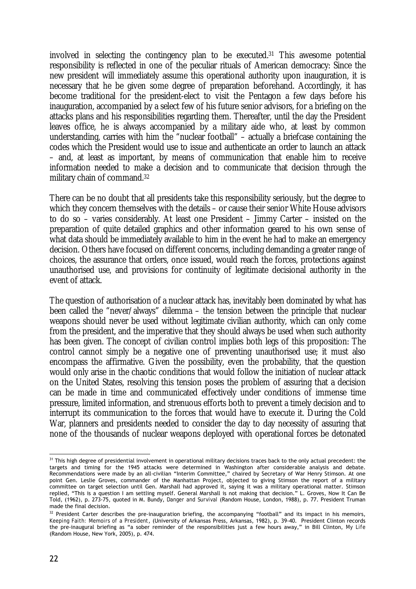involved in selecting the contingency plan to be executed.31 This awesome potential responsibility is reflected in one of the peculiar rituals of American democracy: Since the new president will immediately assume this operational authority upon inauguration, it is necessary that he be given some degree of preparation beforehand. Accordingly, it has become traditional for the president-elect to visit the Pentagon a few days before his inauguration, accompanied by a select few of his future senior advisors, for a briefing on the attacks plans and his responsibilities regarding them. Thereafter, until the day the President leaves office, he is always accompanied by a military aide who, at least by common understanding, carries with him the "nuclear football" – actually a briefcase containing the codes which the President would use to issue and authenticate an order to launch an attack – and, at least as important, by means of communication that enable him to receive information needed to make a decision and to communicate that decision through the military chain of command.32

There can be no doubt that all presidents take this responsibility seriously, but the degree to which they concern themselves with the details – or cause their senior White House advisors to do so – varies considerably. At least one President – Jimmy Carter – insisted on the preparation of quite detailed graphics and other information geared to his own sense of what data should be immediately available to him in the event he had to make an emergency decision. Others have focused on different concerns, including demanding a greater range of choices, the assurance that orders, once issued, would reach the forces, protections against unauthorised use, and provisions for continuity of legitimate decisional authority in the event of attack.

The question of authorisation of a nuclear attack has, inevitably been dominated by what has been called the "never/always" dilemma – the tension between the principle that nuclear weapons should never be used without legitimate civilian authority, which can only come from the president, and the imperative that they should always be used when such authority has been given. The concept of civilian control implies both legs of this proposition: The control cannot simply be a negative one of preventing unauthorised use; it must also encompass the affirmative. Given the possibility, even the probability, that the question would only arise in the chaotic conditions that would follow the initiation of nuclear attack on the United States, resolving this tension poses the problem of assuring that a decision can be made in time and communicated effectively under conditions of immense time pressure, limited information, and strenuous efforts both to prevent a timely decision and to interrupt its communication to the forces that would have to execute it. During the Cold War, planners and presidents needed to consider the day to day necessity of assuring that none of the thousands of nuclear weapons deployed with operational forces be detonated

<sup>1</sup> <sup>31</sup> This high degree of presidential involvement in operational military decisions traces back to the only actual precedent: the targets and timing for the 1945 attacks were determined in Washington after considerable analysis and debate. Recommendations were made by an all-civilian "Interim Committee," chaired by Secretary of War Henry Stimson. At one point Gen. Leslie Groves, commander of the Manhattan Project, objected to giving Stimson the report of a military committee on target selection until Gen. Marshall had approved it, saying it was a military operational matter. Stimson replied, "This is a question I am settling myself. General Marshall is not making that decision." L. Groves, Now It Can Be Told, (1962), p. 273-75, quoted in M. Bundy, *Danger and Survival* (Random House, London, 1988), p. 77. President Truman made the final decision.

<sup>&</sup>lt;sup>32</sup> President Carter describes the pre-inauguration briefing, the accompanying "football" and its impact in his memoirs, *Keeping Faith: Memoirs of a President*, (University of Arkansas Press, Arkansas, 1982), p. 39-40. President Clinton records the pre-inaugural briefing as "a sober reminder of the responsibilities just a few hours away," in Bill Clinton, *My Life* (Random House, New York, 2005), p. 474.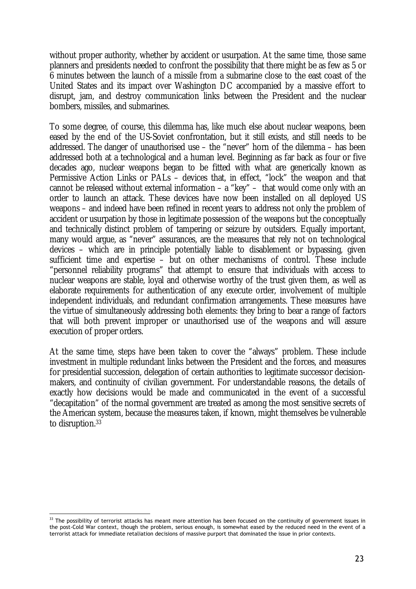without proper authority, whether by accident or usurpation. At the same time, those same planners and presidents needed to confront the possibility that there might be as few as 5 or 6 minutes between the launch of a missile from a submarine close to the east coast of the United States and its impact over Washington DC accompanied by a massive effort to disrupt, jam, and destroy communication links between the President and the nuclear bombers, missiles, and submarines.

To some degree, of course, this dilemma has, like much else about nuclear weapons, been eased by the end of the US-Soviet confrontation, but it still exists, and still needs to be addressed. The danger of unauthorised use – the "never" horn of the dilemma – has been addressed both at a technological and a human level. Beginning as far back as four or five decades ago, nuclear weapons began to be fitted with what are generically known as Permissive Action Links or PALs – devices that, in effect, "lock" the weapon and that cannot be released without external information – a "key" – that would come only with an order to launch an attack. These devices have now been installed on all deployed US weapons – and indeed have been refined in recent years to address not only the problem of accident or usurpation by those in legitimate possession of the weapons but the conceptually and technically distinct problem of tampering or seizure by outsiders. Equally important, many would argue, as "never" assurances, are the measures that rely not on technological devices – which are in principle potentially liable to disablement or bypassing, given sufficient time and expertise – but on other mechanisms of control. These include "personnel reliability programs" that attempt to ensure that individuals with access to nuclear weapons are stable, loyal and otherwise worthy of the trust given them, as well as elaborate requirements for authentication of any execute order, involvement of multiple independent individuals, and redundant confirmation arrangements. These measures have the virtue of simultaneously addressing both elements: they bring to bear a range of factors that will both prevent improper or unauthorised use of the weapons and will assure execution of proper orders.

At the same time, steps have been taken to cover the "always" problem. These include investment in multiple redundant links between the President and the forces, and measures for presidential succession, delegation of certain authorities to legitimate successor decisionmakers, and continuity of civilian government. For understandable reasons, the details of exactly how decisions would be made and communicated in the event of a successful "decapitation" of the normal government are treated as among the most sensitive secrets of the American system, because the measures taken, if known, might themselves be vulnerable to disruption.33

<sup>&</sup>lt;u>.</u>  $33$  The possibility of terrorist attacks has meant more attention has been focused on the continuity of government issues in the post-Cold War context, though the problem, serious enough, is somewhat eased by the reduced need in the event of a terrorist attack for immediate retaliation decisions of massive purport that dominated the issue in prior contexts.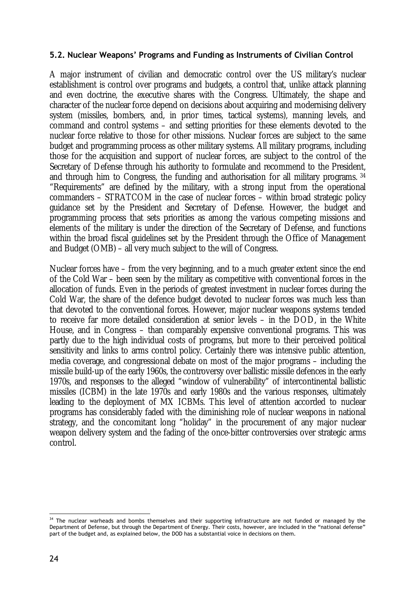### **5.2. Nuclear Weapons' Programs and Funding as Instruments of Civilian Control**

A major instrument of civilian and democratic control over the US military's nuclear establishment is control over programs and budgets, a control that, unlike attack planning and even doctrine, the executive shares with the Congress. Ultimately, the shape and character of the nuclear force depend on decisions about acquiring and modernising delivery system (missiles, bombers, and, in prior times, tactical systems), manning levels, and command and control systems – and setting priorities for these elements devoted to the nuclear force relative to those for other missions. Nuclear forces are subject to the same budget and programming process as other military systems. All military programs, including those for the acquisition and support of nuclear forces, are subject to the control of the Secretary of Defense through his authority to formulate and recommend to the President, and through him to Congress, the funding and authorisation for all military programs. 34 "Requirements" are defined by the military, with a strong input from the operational commanders – STRATCOM in the case of nuclear forces – within broad strategic policy guidance set by the President and Secretary of Defense. However, the budget and programming process that sets priorities as among the various competing missions and elements of the military is under the direction of the Secretary of Defense, and functions within the broad fiscal guidelines set by the President through the Office of Management and Budget (OMB) – all very much subject to the will of Congress.

Nuclear forces have – from the very beginning, and to a much greater extent since the end of the Cold War – been seen by the military as competitive with conventional forces in the allocation of funds. Even in the periods of greatest investment in nuclear forces during the Cold War, the share of the defence budget devoted to nuclear forces was much less than that devoted to the conventional forces. However, major nuclear weapons systems tended to receive far more detailed consideration at senior levels – in the DOD, in the White House, and in Congress – than comparably expensive conventional programs. This was partly due to the high individual costs of programs, but more to their perceived political sensitivity and links to arms control policy. Certainly there was intensive public attention, media coverage, and congressional debate on most of the major programs – including the missile build-up of the early 1960s, the controversy over ballistic missile defences in the early 1970s, and responses to the alleged "window of vulnerability" of intercontinental ballistic missiles (ICBM) in the late 1970s and early 1980s and the various responses, ultimately leading to the deployment of MX ICBMs. This level of attention accorded to nuclear programs has considerably faded with the diminishing role of nuclear weapons in national strategy, and the concomitant long "holiday" in the procurement of any major nuclear weapon delivery system and the fading of the once-bitter controversies over strategic arms control.

<sup>&</sup>lt;u>.</u> <sup>34</sup> The nuclear warheads and bombs themselves and their supporting infrastructure are not funded or managed by the Department of Defense, but through the Department of Energy. Their costs, however, are included in the "national defense" part of the budget and, as explained below, the DOD has a substantial voice in decisions on them.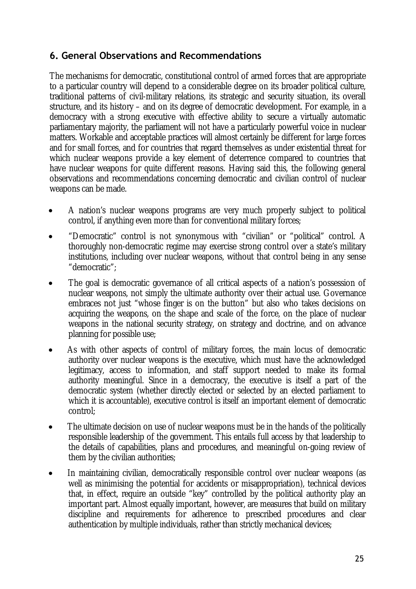### **6. General Observations and Recommendations**

The mechanisms for democratic, constitutional control of armed forces that are appropriate to a particular country will depend to a considerable degree on its broader political culture, traditional patterns of civil-military relations, its strategic and security situation, its overall structure, and its history – and on its degree of democratic development. For example, in a democracy with a strong executive with effective ability to secure a virtually automatic parliamentary majority, the parliament will not have a particularly powerful voice in nuclear matters. Workable and acceptable practices will almost certainly be different for large forces and for small forces, and for countries that regard themselves as under existential threat for which nuclear weapons provide a key element of deterrence compared to countries that have nuclear weapons for quite different reasons. Having said this, the following general observations and recommendations concerning democratic and civilian control of nuclear weapons can be made.

- A nation's nuclear weapons programs are very much properly subject to political control, if anything even more than for conventional military forces;
- "Democratic" control is not synonymous with "civilian" or "political" control. A thoroughly non-democratic regime may exercise strong control over a state's military institutions, including over nuclear weapons, without that control being in any sense "democratic";
- The goal is democratic governance of all critical aspects of a nation's possession of nuclear weapons, not simply the ultimate authority over their actual use. Governance embraces not just "whose finger is on the button" but also who takes decisions on acquiring the weapons, on the shape and scale of the force, on the place of nuclear weapons in the national security strategy, on strategy and doctrine, and on advance planning for possible use;
- As with other aspects of control of military forces, the main locus of democratic authority over nuclear weapons is the executive, which must have the acknowledged legitimacy, access to information, and staff support needed to make its formal authority meaningful. Since in a democracy, the executive is itself a part of the democratic system (whether directly elected or selected by an elected parliament to which it is accountable), executive control is itself an important element of democratic control;
- The ultimate decision on use of nuclear weapons must be in the hands of the politically responsible leadership of the government. This entails full access by that leadership to the details of capabilities, plans and procedures, and meaningful on-going review of them by the civilian authorities;
- In maintaining civilian, democratically responsible control over nuclear weapons (as well as minimising the potential for accidents or misappropriation), technical devices that, in effect, require an outside "key" controlled by the political authority play an important part. Almost equally important, however, are measures that build on military discipline and requirements for adherence to prescribed procedures and clear authentication by multiple individuals, rather than strictly mechanical devices;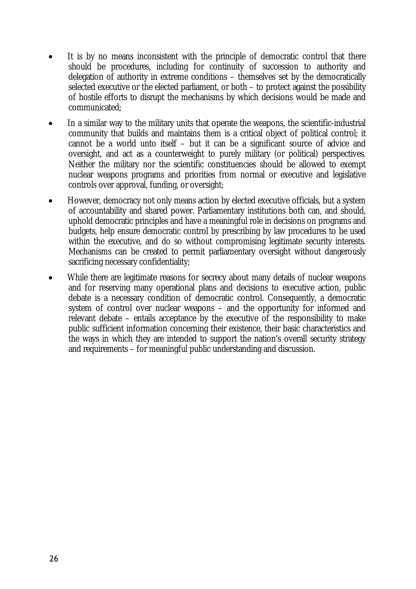- It is by no means inconsistent with the principle of democratic control that there should be procedures, including for continuity of succession to authority and delegation of authority in extreme conditions – themselves set by the democratically selected executive or the elected parliament, or both – to protect against the possibility of hostile efforts to disrupt the mechanisms by which decisions would be made and communicated;
- In a similar way to the military units that operate the weapons, the scientific-industrial community that builds and maintains them is a critical object of political control; it cannot be a world unto itself – but it can be a significant source of advice and oversight, and act as a counterweight to purely military (or political) perspectives. Neither the military nor the scientific constituencies should be allowed to exempt nuclear weapons programs and priorities from normal or executive and legislative controls over approval, funding, or oversight;
- However, democracy not only means action by elected executive officials, but a system of accountability and shared power. Parliamentary institutions both can, and should, uphold democratic principles and have a meaningful role in decisions on programs and budgets, help ensure democratic control by prescribing by law procedures to be used within the executive, and do so without compromising legitimate security interests. Mechanisms can be created to permit parliamentary oversight without dangerously sacrificing necessary confidentiality;
- While there are legitimate reasons for secrecy about many details of nuclear weapons and for reserving many operational plans and decisions to executive action, public debate is a necessary condition of democratic control. Consequently, a democratic system of control over nuclear weapons – and the opportunity for informed and relevant debate – entails acceptance by the executive of the responsibility to make public sufficient information concerning their existence, their basic characteristics and the ways in which they are intended to support the nation's overall security strategy and requirements – for meaningful public understanding and discussion.